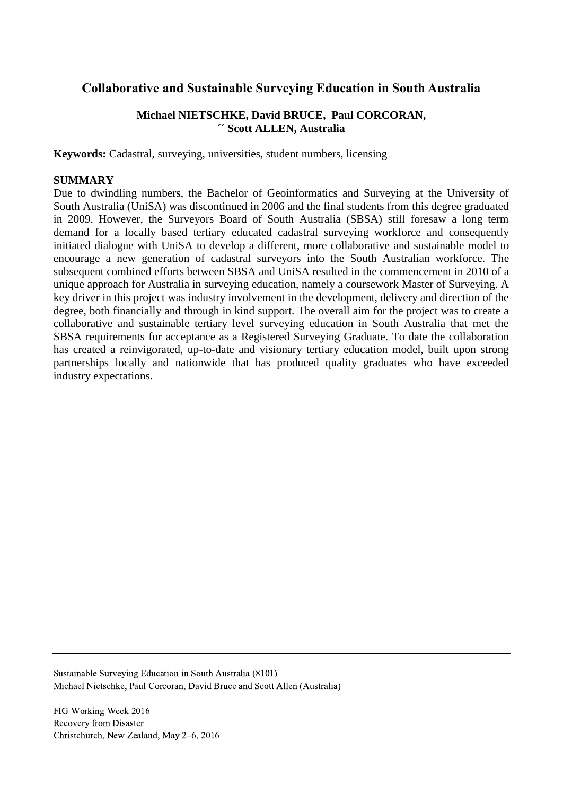# **Collaborative and Sustainable Surveying Education in South Australia**

## **Michael NIETSCHKE, David BRUCE, Paul CORCORAN, ´´ Scott ALLEN, Australia**

**Keywords:** Cadastral, surveying, universities, student numbers, licensing

#### **SUMMARY**

Due to dwindling numbers, the Bachelor of Geoinformatics and Surveying at the University of South Australia (UniSA) was discontinued in 2006 and the final students from this degree graduated in 2009. However, the Surveyors Board of South Australia (SBSA) still foresaw a long term demand for a locally based tertiary educated cadastral surveying workforce and consequently initiated dialogue with UniSA to develop a different, more collaborative and sustainable model to encourage a new generation of cadastral surveyors into the South Australian workforce. The subsequent combined efforts between SBSA and UniSA resulted in the commencement in 2010 of a unique approach for Australia in surveying education, namely a coursework Master of Surveying. A key driver in this project was industry involvement in the development, delivery and direction of the degree, both financially and through in kind support. The overall aim for the project was to create a collaborative and sustainable tertiary level surveying education in South Australia that met the SBSA requirements for acceptance as a Registered Surveying Graduate. To date the collaboration has created a reinvigorated, up-to-date and visionary tertiary education model, built upon strong partnerships locally and nationwide that has produced quality graduates who have exceeded industry expectations.

Sustainable Surveying Education in South Australia (8101) Michael Nietschke, Paul Corcoran, David Bruce and Scott Allen (Australia)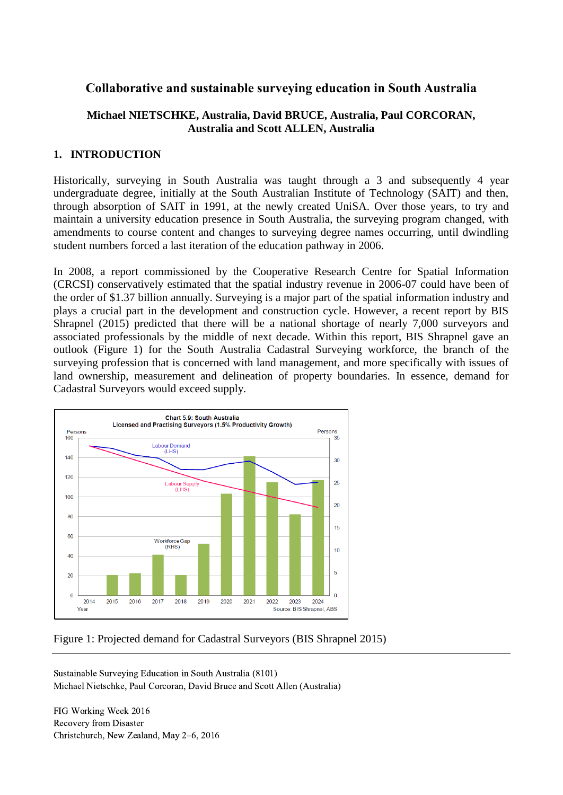# **Collaborative and sustainable surveying education in South Australia**

## **Michael NIETSCHKE, Australia, David BRUCE, Australia, Paul CORCORAN, Australia and Scott ALLEN, Australia**

## **1. INTRODUCTION**

Historically, surveying in South Australia was taught through a 3 and subsequently 4 year undergraduate degree, initially at the South Australian Institute of Technology (SAIT) and then, through absorption of SAIT in 1991, at the newly created UniSA. Over those years, to try and maintain a university education presence in South Australia, the surveying program changed, with amendments to course content and changes to surveying degree names occurring, until dwindling student numbers forced a last iteration of the education pathway in 2006.

In 2008, a report commissioned by the Cooperative Research Centre for Spatial Information (CRCSI) conservatively estimated that the spatial industry revenue in 2006-07 could have been of the order of \$1.37 billion annually. Surveying is a major part of the spatial information industry and plays a crucial part in the development and construction cycle. However, a recent report by BIS Shrapnel (2015) predicted that there will be a national shortage of nearly 7,000 surveyors and associated professionals by the middle of next decade. Within this report, BIS Shrapnel gave an outlook (Figure 1) for the South Australia Cadastral Surveying workforce, the branch of the surveying profession that is concerned with land management, and more specifically with issues of land ownership, measurement and delineation of property boundaries. In essence, demand for Cadastral Surveyors would exceed supply.



Figure 1: Projected demand for Cadastral Surveyors (BIS Shrapnel 2015)

Sustainable Surveying Education in South Australia (8101) Michael Nietschke, Paul Corcoran, David Bruce and Scott Allen (Australia)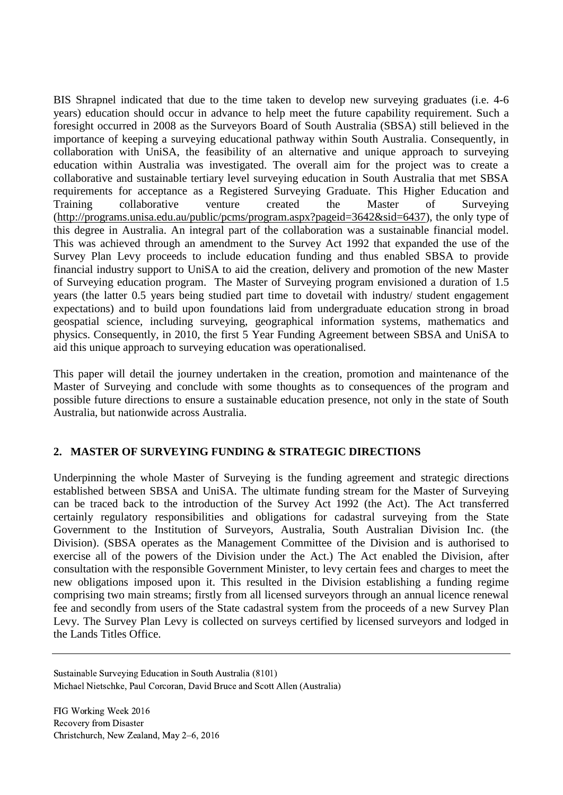BIS Shrapnel indicated that due to the time taken to develop new surveying graduates (i.e. 4-6 years) education should occur in advance to help meet the future capability requirement. Such a foresight occurred in 2008 as the Surveyors Board of South Australia (SBSA) still believed in the importance of keeping a surveying educational pathway within South Australia. Consequently, in collaboration with UniSA, the feasibility of an alternative and unique approach to surveying education within Australia was investigated. The overall aim for the project was to create a collaborative and sustainable tertiary level surveying education in South Australia that met SBSA requirements for acceptance as a Registered Surveying Graduate. This Higher Education and Training collaborative venture created the Master of Surveying [\(http://programs.unisa.edu.au/public/pcms/program.aspx?pageid=3642&sid=6437\)](http://programs.unisa.edu.au/public/pcms/program.aspx?pageid=3642&sid=6437), the only type of this degree in Australia. An integral part of the collaboration was a sustainable financial model. This was achieved through an amendment to the Survey Act 1992 that expanded the use of the Survey Plan Levy proceeds to include education funding and thus enabled SBSA to provide financial industry support to UniSA to aid the creation, delivery and promotion of the new Master of Surveying education program. The Master of Surveying program envisioned a duration of 1.5 years (the latter 0.5 years being studied part time to dovetail with industry/ student engagement expectations) and to build upon foundations laid from undergraduate education strong in broad geospatial science, including surveying, geographical information systems, mathematics and physics. Consequently, in 2010, the first 5 Year Funding Agreement between SBSA and UniSA to aid this unique approach to surveying education was operationalised.

This paper will detail the journey undertaken in the creation, promotion and maintenance of the Master of Surveying and conclude with some thoughts as to consequences of the program and possible future directions to ensure a sustainable education presence, not only in the state of South Australia, but nationwide across Australia.

## **2. MASTER OF SURVEYING FUNDING & STRATEGIC DIRECTIONS**

Underpinning the whole Master of Surveying is the funding agreement and strategic directions established between SBSA and UniSA. The ultimate funding stream for the Master of Surveying can be traced back to the introduction of the Survey Act 1992 (the Act). The Act transferred certainly regulatory responsibilities and obligations for cadastral surveying from the State Government to the Institution of Surveyors, Australia, South Australian Division Inc. (the Division). (SBSA operates as the Management Committee of the Division and is authorised to exercise all of the powers of the Division under the Act.) The Act enabled the Division, after consultation with the responsible Government Minister, to levy certain fees and charges to meet the new obligations imposed upon it. This resulted in the Division establishing a funding regime comprising two main streams; firstly from all licensed surveyors through an annual licence renewal fee and secondly from users of the State cadastral system from the proceeds of a new Survey Plan Levy. The Survey Plan Levy is collected on surveys certified by licensed surveyors and lodged in the Lands Titles Office.

Sustainable Surveying Education in South Australia (8101) Michael Nietschke, Paul Corcoran, David Bruce and Scott Allen (Australia)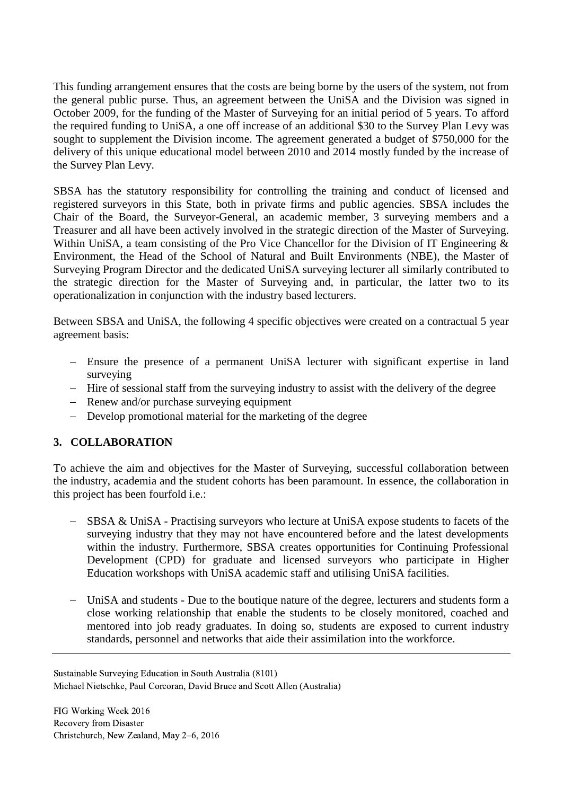This funding arrangement ensures that the costs are being borne by the users of the system, not from the general public purse. Thus, an agreement between the UniSA and the Division was signed in October 2009, for the funding of the Master of Surveying for an initial period of 5 years. To afford the required funding to UniSA, a one off increase of an additional \$30 to the Survey Plan Levy was sought to supplement the Division income. The agreement generated a budget of \$750,000 for the delivery of this unique educational model between 2010 and 2014 mostly funded by the increase of the Survey Plan Levy.

SBSA has the statutory responsibility for controlling the training and conduct of licensed and registered surveyors in this State, both in private firms and public agencies. SBSA includes the Chair of the Board, the Surveyor-General, an academic member, 3 surveying members and a Treasurer and all have been actively involved in the strategic direction of the Master of Surveying. Within UniSA, a team consisting of the Pro Vice Chancellor for the Division of IT Engineering & Environment, the Head of the School of Natural and Built Environments (NBE), the Master of Surveying Program Director and the dedicated UniSA surveying lecturer all similarly contributed to the strategic direction for the Master of Surveying and, in particular, the latter two to its operationalization in conjunction with the industry based lecturers.

Between SBSA and UniSA, the following 4 specific objectives were created on a contractual 5 year agreement basis:

- Ensure the presence of a permanent UniSA lecturer with significant expertise in land surveying
- Hire of sessional staff from the surveying industry to assist with the delivery of the degree
- Renew and/or purchase surveying equipment
- Develop promotional material for the marketing of the degree

# **3. COLLABORATION**

To achieve the aim and objectives for the Master of Surveying, successful collaboration between the industry, academia and the student cohorts has been paramount. In essence, the collaboration in this project has been fourfold i.e.:

- SBSA & UniSA Practising surveyors who lecture at UniSA expose students to facets of the surveying industry that they may not have encountered before and the latest developments within the industry. Furthermore, SBSA creates opportunities for Continuing Professional Development (CPD) for graduate and licensed surveyors who participate in Higher Education workshops with UniSA academic staff and utilising UniSA facilities.
- UniSA and students Due to the boutique nature of the degree, lecturers and students form a close working relationship that enable the students to be closely monitored, coached and mentored into job ready graduates. In doing so, students are exposed to current industry standards, personnel and networks that aide their assimilation into the workforce.

Sustainable Surveying Education in South Australia (8101) Michael Nietschke, Paul Corcoran, David Bruce and Scott Allen (Australia)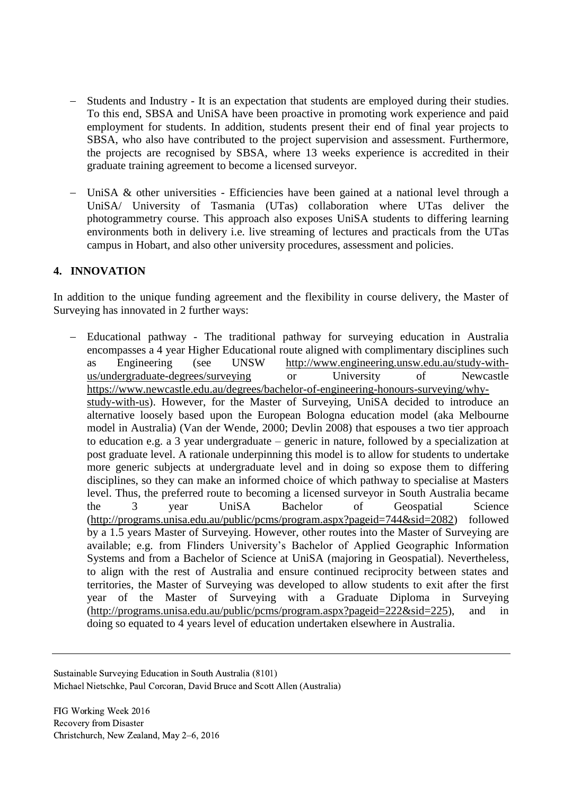- Students and Industry It is an expectation that students are employed during their studies. To this end, SBSA and UniSA have been proactive in promoting work experience and paid employment for students. In addition, students present their end of final year projects to SBSA, who also have contributed to the project supervision and assessment. Furthermore, the projects are recognised by SBSA, where 13 weeks experience is accredited in their graduate training agreement to become a licensed surveyor.
- UniSA & other universities Efficiencies have been gained at a national level through a UniSA/ University of Tasmania (UTas) collaboration where UTas deliver the photogrammetry course. This approach also exposes UniSA students to differing learning environments both in delivery i.e. live streaming of lectures and practicals from the UTas campus in Hobart, and also other university procedures, assessment and policies.

#### **4. INNOVATION**

In addition to the unique funding agreement and the flexibility in course delivery, the Master of Surveying has innovated in 2 further ways:

 Educational pathway - The traditional pathway for surveying education in Australia encompasses a 4 year Higher Educational route aligned with complimentary disciplines such as Engineering (see UNSW [http://www.engineering.unsw.edu.au/study-with](http://www.engineering.unsw.edu.au/study-with-us/undergraduate-degrees/surveying)[us/undergraduate-degrees/surveying](http://www.engineering.unsw.edu.au/study-with-us/undergraduate-degrees/surveying) or University of Newcastle [https://www.newcastle.edu.au/degrees/bachelor-of-engineering-honours-surveying/why](https://www.newcastle.edu.au/degrees/bachelor-of-engineering-honours-surveying/why-study-with-us)[study-with-us\)](https://www.newcastle.edu.au/degrees/bachelor-of-engineering-honours-surveying/why-study-with-us). However, for the Master of Surveying, UniSA decided to introduce an alternative loosely based upon the European Bologna education model (aka Melbourne model in Australia) (Van der Wende, 2000; Devlin 2008) that espouses a two tier approach to education e.g. a 3 year undergraduate – generic in nature, followed by a specialization at post graduate level. A rationale underpinning this model is to allow for students to undertake more generic subjects at undergraduate level and in doing so expose them to differing disciplines, so they can make an informed choice of which pathway to specialise at Masters level. Thus, the preferred route to becoming a licensed surveyor in South Australia became the 3 year UniSA Bachelor of Geospatial Science [\(http://programs.unisa.edu.au/public/pcms/program.aspx?pageid=744&sid=2082\)](http://programs.unisa.edu.au/public/pcms/program.aspx?pageid=744&sid=2082) followed by a 1.5 years Master of Surveying. However, other routes into the Master of Surveying are available; e.g. from Flinders University's Bachelor of Applied Geographic Information Systems and from a Bachelor of Science at UniSA (majoring in Geospatial). Nevertheless, to align with the rest of Australia and ensure continued reciprocity between states and territories, the Master of Surveying was developed to allow students to exit after the first year of the Master of Surveying with a Graduate Diploma in Surveying [\(http://programs.unisa.edu.au/public/pcms/program.aspx?pageid=222&sid=225\)](http://programs.unisa.edu.au/public/pcms/program.aspx?pageid=222&sid=225), and in doing so equated to 4 years level of education undertaken elsewhere in Australia.

Sustainable Surveying Education in South Australia (8101) Michael Nietschke, Paul Corcoran, David Bruce and Scott Allen (Australia)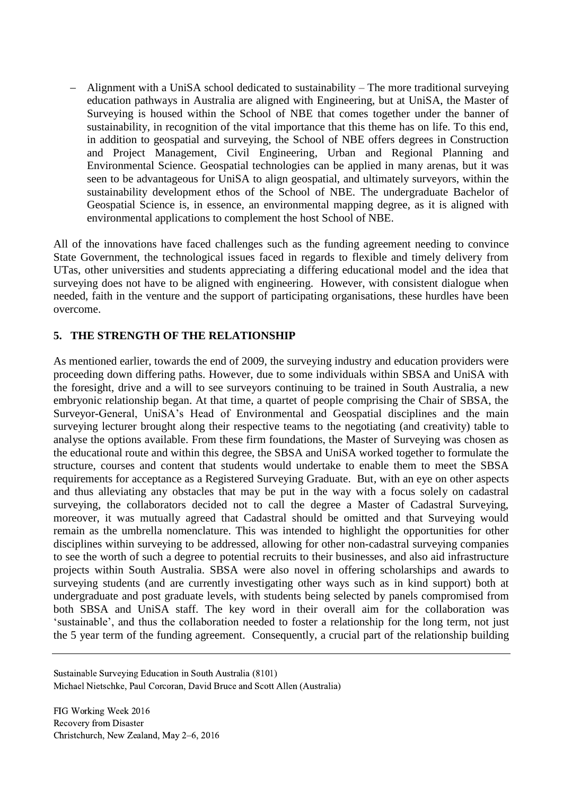Alignment with a UniSA school dedicated to sustainability – The more traditional surveying education pathways in Australia are aligned with Engineering, but at UniSA, the Master of Surveying is housed within the School of NBE that comes together under the banner of sustainability, in recognition of the vital importance that this theme has on life. To this end, in addition to geospatial and surveying, the School of NBE offers degrees in Construction and Project Management, Civil Engineering, Urban and Regional Planning and Environmental Science. Geospatial technologies can be applied in many arenas, but it was seen to be advantageous for UniSA to align geospatial, and ultimately surveyors, within the sustainability development ethos of the School of NBE. The undergraduate Bachelor of Geospatial Science is, in essence, an environmental mapping degree, as it is aligned with environmental applications to complement the host School of NBE.

All of the innovations have faced challenges such as the funding agreement needing to convince State Government, the technological issues faced in regards to flexible and timely delivery from UTas, other universities and students appreciating a differing educational model and the idea that surveying does not have to be aligned with engineering. However, with consistent dialogue when needed, faith in the venture and the support of participating organisations, these hurdles have been overcome.

## **5. THE STRENGTH OF THE RELATIONSHIP**

As mentioned earlier, towards the end of 2009, the surveying industry and education providers were proceeding down differing paths. However, due to some individuals within SBSA and UniSA with the foresight, drive and a will to see surveyors continuing to be trained in South Australia, a new embryonic relationship began. At that time, a quartet of people comprising the Chair of SBSA, the Surveyor-General, UniSA's Head of Environmental and Geospatial disciplines and the main surveying lecturer brought along their respective teams to the negotiating (and creativity) table to analyse the options available. From these firm foundations, the Master of Surveying was chosen as the educational route and within this degree, the SBSA and UniSA worked together to formulate the structure, courses and content that students would undertake to enable them to meet the SBSA requirements for acceptance as a Registered Surveying Graduate. But, with an eye on other aspects and thus alleviating any obstacles that may be put in the way with a focus solely on cadastral surveying, the collaborators decided not to call the degree a Master of Cadastral Surveying, moreover, it was mutually agreed that Cadastral should be omitted and that Surveying would remain as the umbrella nomenclature. This was intended to highlight the opportunities for other disciplines within surveying to be addressed, allowing for other non-cadastral surveying companies to see the worth of such a degree to potential recruits to their businesses, and also aid infrastructure projects within South Australia. SBSA were also novel in offering scholarships and awards to surveying students (and are currently investigating other ways such as in kind support) both at undergraduate and post graduate levels, with students being selected by panels compromised from both SBSA and UniSA staff. The key word in their overall aim for the collaboration was 'sustainable', and thus the collaboration needed to foster a relationship for the long term, not just the 5 year term of the funding agreement. Consequently, a crucial part of the relationship building

Sustainable Surveying Education in South Australia (8101) Michael Nietschke, Paul Corcoran, David Bruce and Scott Allen (Australia)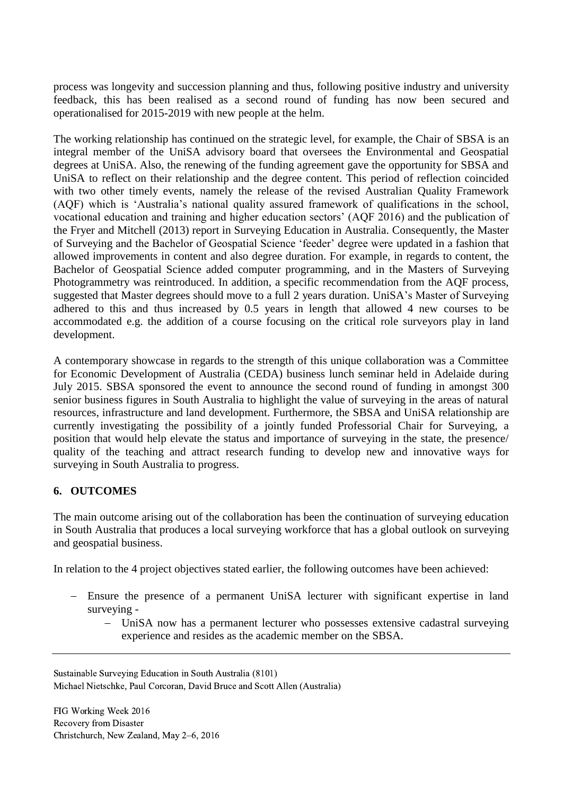process was longevity and succession planning and thus, following positive industry and university feedback, this has been realised as a second round of funding has now been secured and operationalised for 2015-2019 with new people at the helm.

The working relationship has continued on the strategic level, for example, the Chair of SBSA is an integral member of the UniSA advisory board that oversees the Environmental and Geospatial degrees at UniSA. Also, the renewing of the funding agreement gave the opportunity for SBSA and UniSA to reflect on their relationship and the degree content. This period of reflection coincided with two other timely events, namely the release of the revised Australian Quality Framework (AQF) which is 'Australia's national quality assured framework of qualifications in the school, vocational education and training and higher education sectors' (AQF 2016) and the publication of the Fryer and Mitchell (2013) report in Surveying Education in Australia. Consequently, the Master of Surveying and the Bachelor of Geospatial Science 'feeder' degree were updated in a fashion that allowed improvements in content and also degree duration. For example, in regards to content, the Bachelor of Geospatial Science added computer programming, and in the Masters of Surveying Photogrammetry was reintroduced. In addition, a specific recommendation from the AQF process, suggested that Master degrees should move to a full 2 years duration. UniSA's Master of Surveying adhered to this and thus increased by 0.5 years in length that allowed 4 new courses to be accommodated e.g. the addition of a course focusing on the critical role surveyors play in land development.

A contemporary showcase in regards to the strength of this unique collaboration was a Committee for Economic Development of Australia (CEDA) business lunch seminar held in Adelaide during July 2015. SBSA sponsored the event to announce the second round of funding in amongst 300 senior business figures in South Australia to highlight the value of surveying in the areas of natural resources, infrastructure and land development. Furthermore, the SBSA and UniSA relationship are currently investigating the possibility of a jointly funded Professorial Chair for Surveying, a position that would help elevate the status and importance of surveying in the state, the presence/ quality of the teaching and attract research funding to develop new and innovative ways for surveying in South Australia to progress.

## **6. OUTCOMES**

The main outcome arising out of the collaboration has been the continuation of surveying education in South Australia that produces a local surveying workforce that has a global outlook on surveying and geospatial business.

In relation to the 4 project objectives stated earlier, the following outcomes have been achieved:

- Ensure the presence of a permanent UniSA lecturer with significant expertise in land surveying -
	- UniSA now has a permanent lecturer who possesses extensive cadastral surveying experience and resides as the academic member on the SBSA.

Sustainable Surveying Education in South Australia (8101) Michael Nietschke, Paul Corcoran, David Bruce and Scott Allen (Australia)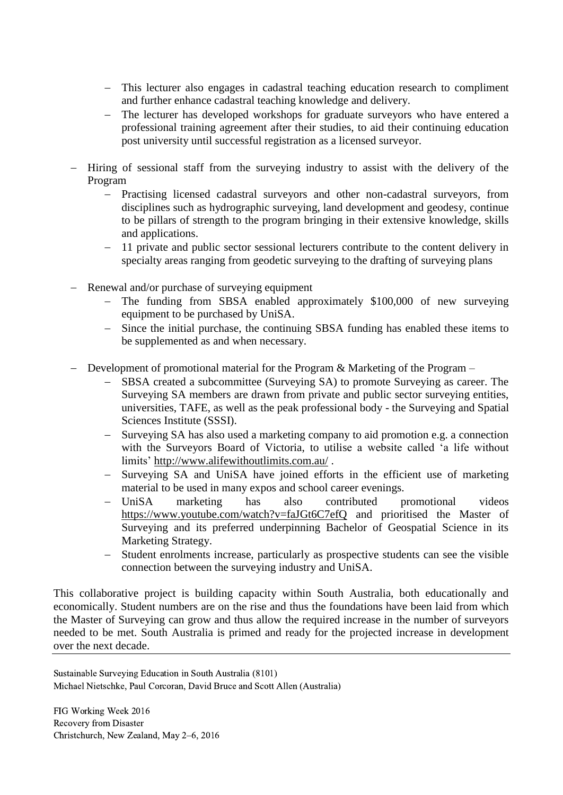- This lecturer also engages in cadastral teaching education research to compliment and further enhance cadastral teaching knowledge and delivery.
- The lecturer has developed workshops for graduate surveyors who have entered a professional training agreement after their studies, to aid their continuing education post university until successful registration as a licensed surveyor.
- Hiring of sessional staff from the surveying industry to assist with the delivery of the Program
	- Practising licensed cadastral surveyors and other non-cadastral surveyors, from disciplines such as hydrographic surveying, land development and geodesy, continue to be pillars of strength to the program bringing in their extensive knowledge, skills and applications.
	- 11 private and public sector sessional lecturers contribute to the content delivery in specialty areas ranging from geodetic surveying to the drafting of surveying plans
- Renewal and/or purchase of surveying equipment
	- The funding from SBSA enabled approximately \$100,000 of new surveying equipment to be purchased by UniSA.
	- Since the initial purchase, the continuing SBSA funding has enabled these items to be supplemented as and when necessary.
- Development of promotional material for the Program & Marketing of the Program
	- SBSA created a subcommittee (Surveying SA) to promote Surveying as career. The Surveying SA members are drawn from private and public sector surveying entities, universities, TAFE, as well as the peak professional body - the Surveying and Spatial Sciences Institute (SSSI).
	- Surveying SA has also used a marketing company to aid promotion e.g. a connection with the Surveyors Board of Victoria, to utilise a website called 'a life without limits'<http://www.alifewithoutlimits.com.au/> .
	- Surveying SA and UniSA have joined efforts in the efficient use of marketing material to be used in many expos and school career evenings.
	- UniSA marketing has also contributed promotional videos <https://www.youtube.com/watch?v=faJGt6C7efQ> and prioritised the Master of Surveying and its preferred underpinning Bachelor of Geospatial Science in its Marketing Strategy.
	- Student enrolments increase, particularly as prospective students can see the visible connection between the surveying industry and UniSA.

This collaborative project is building capacity within South Australia, both educationally and economically. Student numbers are on the rise and thus the foundations have been laid from which the Master of Surveying can grow and thus allow the required increase in the number of surveyors needed to be met. South Australia is primed and ready for the projected increase in development over the next decade.

Sustainable Surveying Education in South Australia (8101) Michael Nietschke, Paul Corcoran, David Bruce and Scott Allen (Australia)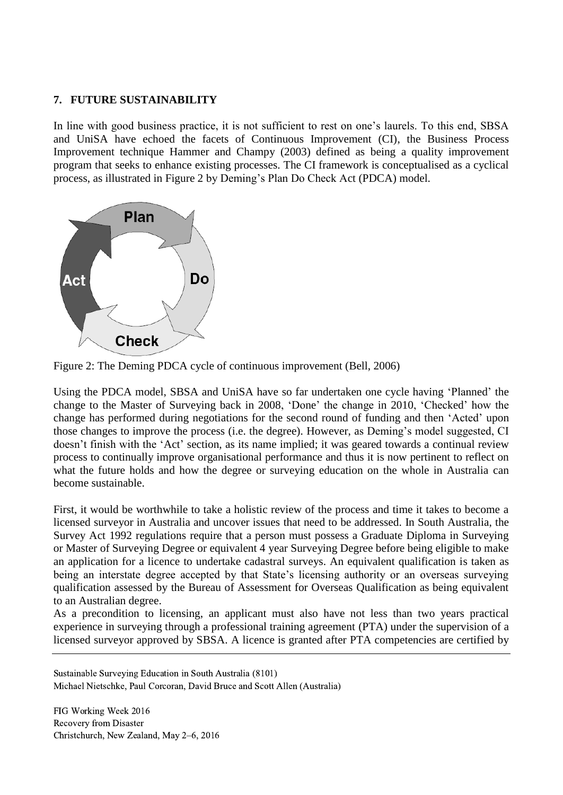#### **7. FUTURE SUSTAINABILITY**

In line with good business practice, it is not sufficient to rest on one's laurels. To this end, SBSA and UniSA have echoed the facets of Continuous Improvement (CI), the Business Process Improvement technique Hammer and Champy (2003) defined as being a quality improvement program that seeks to enhance existing processes. The CI framework is conceptualised as a cyclical process, as illustrated in Figure 2 by Deming's Plan Do Check Act (PDCA) model.



Figure 2: The Deming PDCA cycle of continuous improvement (Bell, 2006)

Using the PDCA model, SBSA and UniSA have so far undertaken one cycle having 'Planned' the change to the Master of Surveying back in 2008, 'Done' the change in 2010, 'Checked' how the change has performed during negotiations for the second round of funding and then 'Acted' upon those changes to improve the process (i.e. the degree). However, as Deming's model suggested, CI doesn't finish with the 'Act' section, as its name implied; it was geared towards a continual review process to continually improve organisational performance and thus it is now pertinent to reflect on what the future holds and how the degree or surveying education on the whole in Australia can become sustainable.

First, it would be worthwhile to take a holistic review of the process and time it takes to become a licensed surveyor in Australia and uncover issues that need to be addressed. In South Australia, the Survey Act 1992 regulations require that a person must possess a Graduate Diploma in Surveying or Master of Surveying Degree or equivalent 4 year Surveying Degree before being eligible to make an application for a licence to undertake cadastral surveys. An equivalent qualification is taken as being an interstate degree accepted by that State's licensing authority or an overseas surveying qualification assessed by the Bureau of Assessment for Overseas Qualification as being equivalent to an Australian degree.

As a precondition to licensing, an applicant must also have not less than two years practical experience in surveying through a professional training agreement (PTA) under the supervision of a licensed surveyor approved by SBSA. A licence is granted after PTA competencies are certified by

Sustainable Surveying Education in South Australia (8101) Michael Nietschke, Paul Corcoran, David Bruce and Scott Allen (Australia)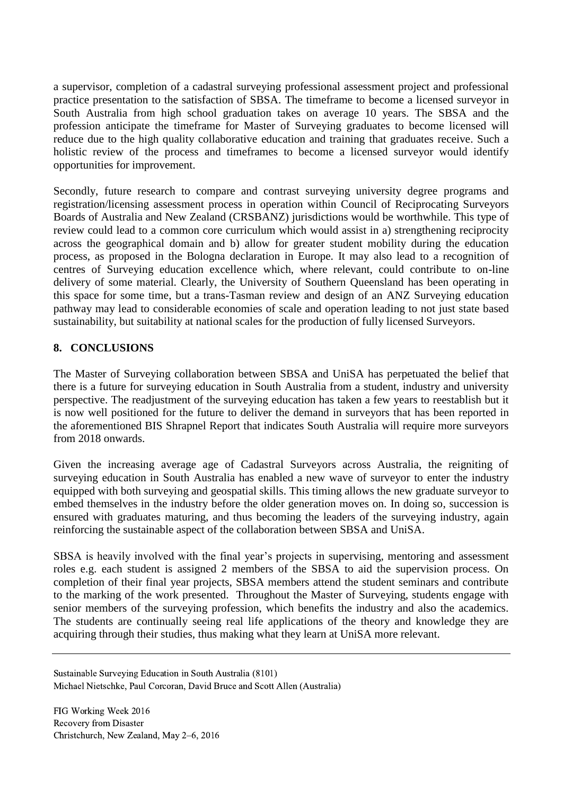a supervisor, completion of a cadastral surveying professional assessment project and professional practice presentation to the satisfaction of SBSA. The timeframe to become a licensed surveyor in South Australia from high school graduation takes on average 10 years. The SBSA and the profession anticipate the timeframe for Master of Surveying graduates to become licensed will reduce due to the high quality collaborative education and training that graduates receive. Such a holistic review of the process and timeframes to become a licensed surveyor would identify opportunities for improvement.

Secondly, future research to compare and contrast surveying university degree programs and registration/licensing assessment process in operation within Council of Reciprocating Surveyors Boards of Australia and New Zealand (CRSBANZ) jurisdictions would be worthwhile. This type of review could lead to a common core curriculum which would assist in a) strengthening reciprocity across the geographical domain and b) allow for greater student mobility during the education process, as proposed in the Bologna declaration in Europe. It may also lead to a recognition of centres of Surveying education excellence which, where relevant, could contribute to on-line delivery of some material. Clearly, the University of Southern Queensland has been operating in this space for some time, but a trans-Tasman review and design of an ANZ Surveying education pathway may lead to considerable economies of scale and operation leading to not just state based sustainability, but suitability at national scales for the production of fully licensed Surveyors.

## **8. CONCLUSIONS**

The Master of Surveying collaboration between SBSA and UniSA has perpetuated the belief that there is a future for surveying education in South Australia from a student, industry and university perspective. The readjustment of the surveying education has taken a few years to reestablish but it is now well positioned for the future to deliver the demand in surveyors that has been reported in the aforementioned BIS Shrapnel Report that indicates South Australia will require more surveyors from 2018 onwards.

Given the increasing average age of Cadastral Surveyors across Australia, the reigniting of surveying education in South Australia has enabled a new wave of surveyor to enter the industry equipped with both surveying and geospatial skills. This timing allows the new graduate surveyor to embed themselves in the industry before the older generation moves on. In doing so, succession is ensured with graduates maturing, and thus becoming the leaders of the surveying industry, again reinforcing the sustainable aspect of the collaboration between SBSA and UniSA.

SBSA is heavily involved with the final year's projects in supervising, mentoring and assessment roles e.g. each student is assigned 2 members of the SBSA to aid the supervision process. On completion of their final year projects, SBSA members attend the student seminars and contribute to the marking of the work presented. Throughout the Master of Surveying, students engage with senior members of the surveying profession, which benefits the industry and also the academics. The students are continually seeing real life applications of the theory and knowledge they are acquiring through their studies, thus making what they learn at UniSA more relevant.

Sustainable Surveying Education in South Australia (8101) Michael Nietschke, Paul Corcoran, David Bruce and Scott Allen (Australia)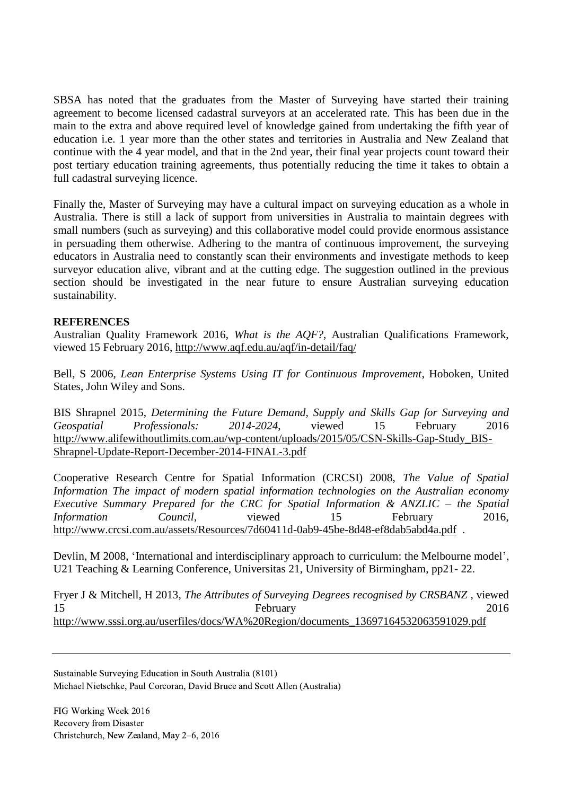SBSA has noted that the graduates from the Master of Surveying have started their training agreement to become licensed cadastral surveyors at an accelerated rate. This has been due in the main to the extra and above required level of knowledge gained from undertaking the fifth year of education i.e. 1 year more than the other states and territories in Australia and New Zealand that continue with the 4 year model, and that in the 2nd year, their final year projects count toward their post tertiary education training agreements, thus potentially reducing the time it takes to obtain a full cadastral surveying licence.

Finally the, Master of Surveying may have a cultural impact on surveying education as a whole in Australia. There is still a lack of support from universities in Australia to maintain degrees with small numbers (such as surveying) and this collaborative model could provide enormous assistance in persuading them otherwise. Adhering to the mantra of continuous improvement, the surveying educators in Australia need to constantly scan their environments and investigate methods to keep surveyor education alive, vibrant and at the cutting edge. The suggestion outlined in the previous section should be investigated in the near future to ensure Australian surveying education sustainability.

#### **REFERENCES**

Australian Quality Framework 2016, *What is the AQF?*, Australian Qualifications Framework, viewed 15 February 2016,<http://www.aqf.edu.au/aqf/in-detail/faq/>

Bell, S 2006, *Lean Enterprise Systems Using IT for Continuous Improvement*, Hoboken, United States, John Wiley and Sons.

BIS Shrapnel 2015, *Determining the Future Demand, Supply and Skills Gap for Surveying and Geospatial Professionals: 2014-2024*, viewed 15 February 2016 [http://www.alifewithoutlimits.com.au/wp-content/uploads/2015/05/CSN-Skills-Gap-Study\\_BIS-](http://www.alifewithoutlimits.com.au/wp-content/uploads/2015/05/CSN-Skills-Gap-Study_BIS-Shrapnel-Update-Report-December-2014-FINAL-3.pdf)[Shrapnel-Update-Report-December-2014-FINAL-3.pdf](http://www.alifewithoutlimits.com.au/wp-content/uploads/2015/05/CSN-Skills-Gap-Study_BIS-Shrapnel-Update-Report-December-2014-FINAL-3.pdf)

Cooperative Research Centre for Spatial Information (CRCSI) 2008, *The Value of Spatial Information The impact of modern spatial information technologies on the Australian economy Executive Summary Prepared for the CRC for Spatial Information & ANZLIC – the Spatial Information Council*, viewed 15 February 2016, <http://www.crcsi.com.au/assets/Resources/7d60411d-0ab9-45be-8d48-ef8dab5abd4a.pdf>.

Devlin, M 2008, ['International and interdisciplinary approach to curriculum: the Melbourne model',](http://dro.deakin.edu.au/list/?cat=quick_filter&search_keys%5Bcore_36%5D=U21+Teaching+%26+Learning+Conference) [U21 Teaching & Learning Conference, Universitas 21, University of Birmingham, p](http://dro.deakin.edu.au/list/?cat=quick_filter&search_keys%5Bcore_36%5D=U21+Teaching+%26+Learning+Conference)p21- 22.

Fryer J & Mitchell, H 2013, *The Attributes of Surveying Degrees recognised by CRSBANZ* , viewed 15 February 2016 [http://www.sssi.org.au/userfiles/docs/WA%20Region/documents\\_13697164532063591029.pdf](http://www.sssi.org.au/userfiles/docs/WA%20Region/documents_13697164532063591029.pdf)

Sustainable Surveying Education in South Australia (8101) Michael Nietschke, Paul Corcoran, David Bruce and Scott Allen (Australia)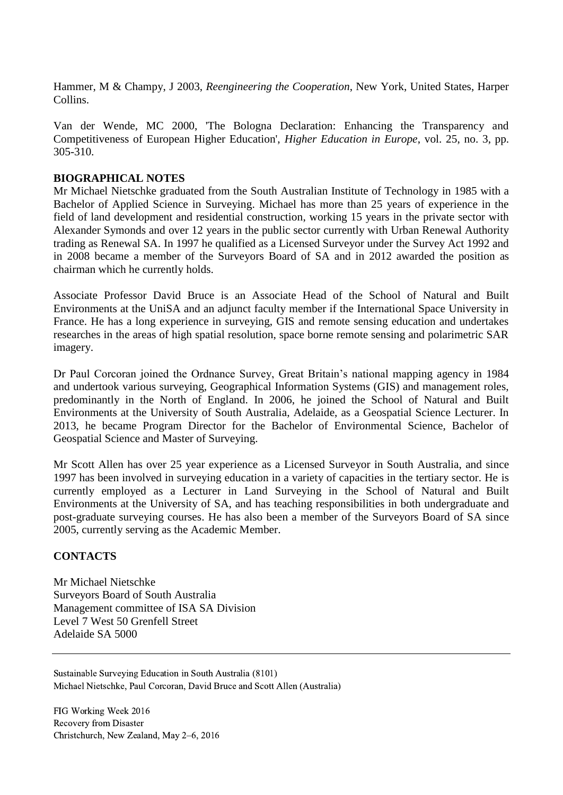Hammer, M & Champy, J 2003, *Reengineering the Cooperation*, New York, United States, Harper Collins.

Van der Wende, MC 2000, 'The Bologna Declaration: Enhancing the Transparency and Competitiveness of European Higher Education', *Higher Education in Europe*, vol. 25, no. 3, pp. 305-310.

#### **BIOGRAPHICAL NOTES**

Mr Michael Nietschke graduated from the South Australian Institute of Technology in 1985 with a Bachelor of Applied Science in Surveying. Michael has more than 25 years of experience in the field of land development and residential construction, working 15 years in the private sector with Alexander Symonds and over 12 years in the public sector currently with Urban Renewal Authority trading as Renewal SA. In 1997 he qualified as a Licensed Surveyor under the Survey Act 1992 and in 2008 became a member of the Surveyors Board of SA and in 2012 awarded the position as chairman which he currently holds.

Associate Professor David Bruce is an Associate Head of the School of Natural and Built Environments at the UniSA and an adjunct faculty member if the International Space University in France. He has a long experience in surveying, GIS and remote sensing education and undertakes researches in the areas of high spatial resolution, space borne remote sensing and polarimetric SAR imagery.

Dr Paul Corcoran joined the Ordnance Survey, Great Britain's national mapping agency in 1984 and undertook various surveying, Geographical Information Systems (GIS) and management roles, predominantly in the North of England. In 2006, he joined the School of Natural and Built Environments at the University of South Australia, Adelaide, as a Geospatial Science Lecturer. In 2013, he became Program Director for the Bachelor of Environmental Science, Bachelor of Geospatial Science and Master of Surveying.

Mr Scott Allen has over 25 year experience as a Licensed Surveyor in South Australia, and since 1997 has been involved in surveying education in a variety of capacities in the tertiary sector. He is currently employed as a Lecturer in Land Surveying in the School of Natural and Built Environments at the University of SA, and has teaching responsibilities in both undergraduate and post-graduate surveying courses. He has also been a member of the Surveyors Board of SA since 2005, currently serving as the Academic Member.

## **CONTACTS**

Mr Michael Nietschke Surveyors Board of South Australia Management committee of ISA SA Division Level 7 West 50 Grenfell Street Adelaide SA 5000

Sustainable Surveying Education in South Australia (8101) Michael Nietschke, Paul Corcoran, David Bruce and Scott Allen (Australia)